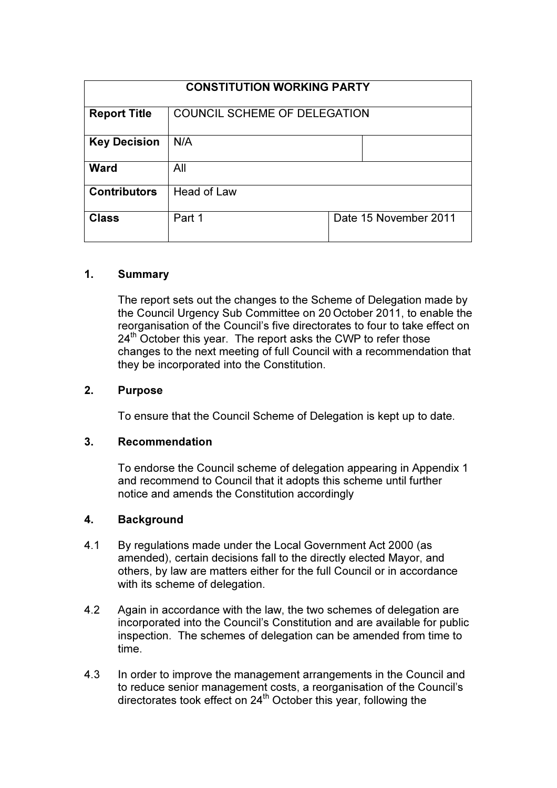| <b>CONSTITUTION WORKING PARTY</b> |                                     |                       |  |  |  |  |
|-----------------------------------|-------------------------------------|-----------------------|--|--|--|--|
| <b>Report Title</b>               | <b>COUNCIL SCHEME OF DELEGATION</b> |                       |  |  |  |  |
| <b>Key Decision</b>               | N/A                                 |                       |  |  |  |  |
| <b>Ward</b>                       | All                                 |                       |  |  |  |  |
| <b>Contributors</b>               | Head of Law                         |                       |  |  |  |  |
| <b>Class</b>                      | Part 1                              | Date 15 November 2011 |  |  |  |  |

## 1. Summary

The report sets out the changes to the Scheme of Delegation made by the Council Urgency Sub Committee on 20 October 2011, to enable the reorganisation of the Council's five directorates to four to take effect on  $24<sup>th</sup>$  October this year. The report asks the CWP to refer those changes to the next meeting of full Council with a recommendation that they be incorporated into the Constitution.

## 2. Purpose

To ensure that the Council Scheme of Delegation is kept up to date.

## 3. Recommendation

To endorse the Council scheme of delegation appearing in Appendix 1 and recommend to Council that it adopts this scheme until further notice and amends the Constitution accordingly

### 4. Background

- 4.1 By regulations made under the Local Government Act 2000 (as amended), certain decisions fall to the directly elected Mayor, and others, by law are matters either for the full Council or in accordance with its scheme of delegation.
- 4.2 Again in accordance with the law, the two schemes of delegation are incorporated into the Council's Constitution and are available for public inspection. The schemes of delegation can be amended from time to time.
- 4.3 In order to improve the management arrangements in the Council and to reduce senior management costs, a reorganisation of the Council's directorates took effect on 24th October this year, following the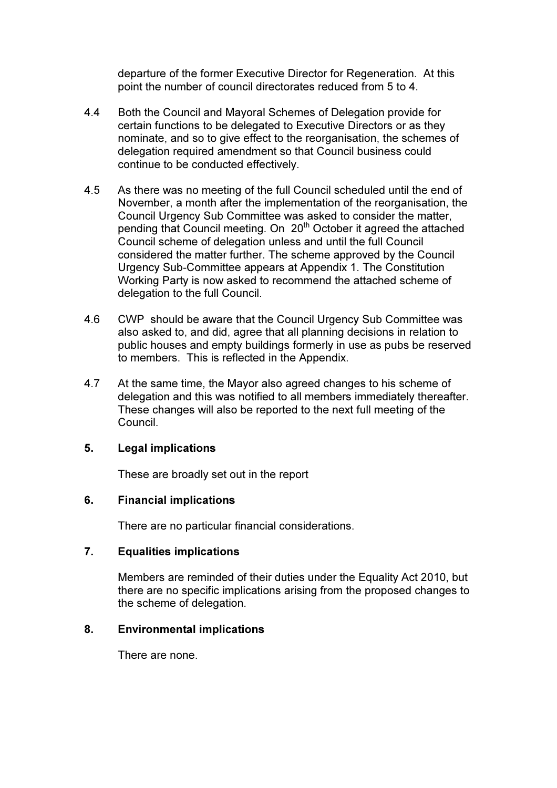departure of the former Executive Director for Regeneration. At this point the number of council directorates reduced from 5 to 4.

- 4.4 Both the Council and Mayoral Schemes of Delegation provide for certain functions to be delegated to Executive Directors or as they nominate, and so to give effect to the reorganisation, the schemes of delegation required amendment so that Council business could continue to be conducted effectively.
- 4.5 As there was no meeting of the full Council scheduled until the end of November, a month after the implementation of the reorganisation, the Council Urgency Sub Committee was asked to consider the matter, pending that Council meeting. On 20<sup>th</sup> October it agreed the attached Council scheme of delegation unless and until the full Council considered the matter further. The scheme approved by the Council Urgency Sub-Committee appears at Appendix 1. The Constitution Working Party is now asked to recommend the attached scheme of delegation to the full Council.
- 4.6 CWP should be aware that the Council Urgency Sub Committee was also asked to, and did, agree that all planning decisions in relation to public houses and empty buildings formerly in use as pubs be reserved to members. This is reflected in the Appendix.
- 4.7 At the same time, the Mayor also agreed changes to his scheme of delegation and this was notified to all members immediately thereafter. These changes will also be reported to the next full meeting of the Council.

### 5. Legal implications

These are broadly set out in the report

## 6. Financial implications

There are no particular financial considerations.

### 7. Equalities implications

Members are reminded of their duties under the Equality Act 2010, but there are no specific implications arising from the proposed changes to the scheme of delegation.

### 8. Environmental implications

There are none.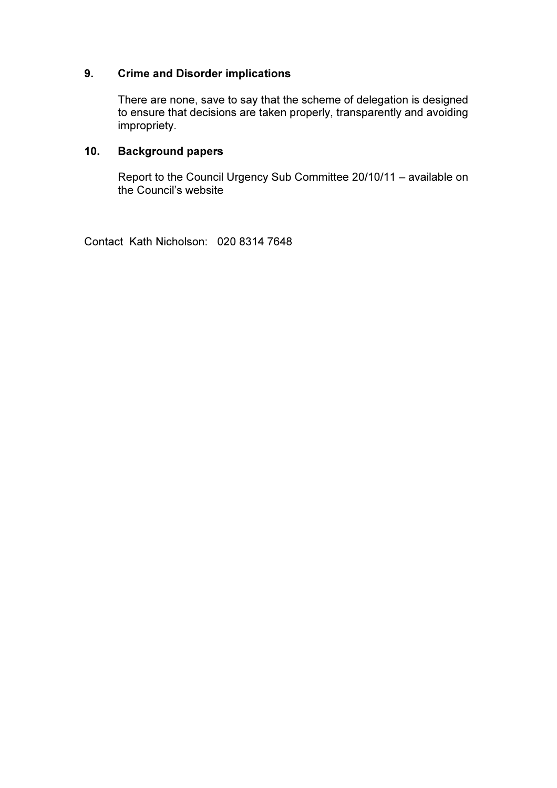## 9. Crime and Disorder implications

There are none, save to say that the scheme of delegation is designed to ensure that decisions are taken properly, transparently and avoiding impropriety.

## 10. Background papers

Report to the Council Urgency Sub Committee 20/10/11 – available on the Council's website

Contact Kath Nicholson: 020 8314 7648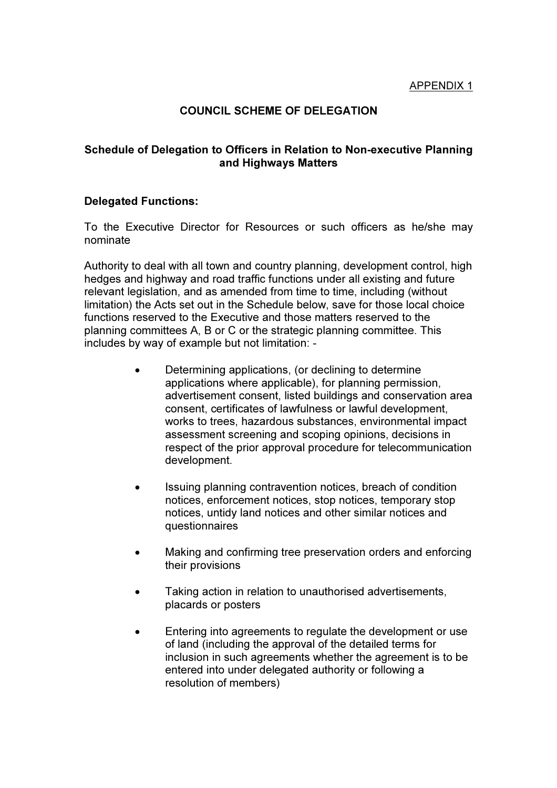APPENDIX 1

## COUNCIL SCHEME OF DELEGATION

### Schedule of Delegation to Officers in Relation to Non-executive Planning and Highways Matters

#### Delegated Functions:

To the Executive Director for Resources or such officers as he/she may nominate

Authority to deal with all town and country planning, development control, high hedges and highway and road traffic functions under all existing and future relevant legislation, and as amended from time to time, including (without limitation) the Acts set out in the Schedule below, save for those local choice functions reserved to the Executive and those matters reserved to the planning committees A, B or C or the strategic planning committee. This includes by way of example but not limitation: -

- Determining applications, (or declining to determine applications where applicable), for planning permission, advertisement consent, listed buildings and conservation area consent, certificates of lawfulness or lawful development, works to trees, hazardous substances, environmental impact assessment screening and scoping opinions, decisions in respect of the prior approval procedure for telecommunication development.
- Issuing planning contravention notices, breach of condition notices, enforcement notices, stop notices, temporary stop notices, untidy land notices and other similar notices and questionnaires
- Making and confirming tree preservation orders and enforcing their provisions
- Taking action in relation to unauthorised advertisements, placards or posters
- Entering into agreements to regulate the development or use of land (including the approval of the detailed terms for inclusion in such agreements whether the agreement is to be entered into under delegated authority or following a resolution of members)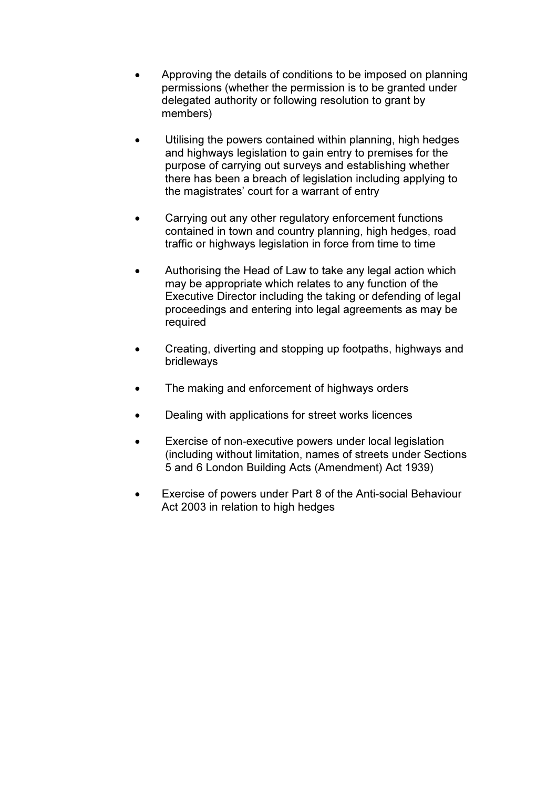- Approving the details of conditions to be imposed on planning permissions (whether the permission is to be granted under delegated authority or following resolution to grant by members)
- Utilising the powers contained within planning, high hedges and highways legislation to gain entry to premises for the purpose of carrying out surveys and establishing whether there has been a breach of legislation including applying to the magistrates' court for a warrant of entry
- Carrying out any other regulatory enforcement functions contained in town and country planning, high hedges, road traffic or highways legislation in force from time to time
- Authorising the Head of Law to take any legal action which may be appropriate which relates to any function of the Executive Director including the taking or defending of legal proceedings and entering into legal agreements as may be required
- Creating, diverting and stopping up footpaths, highways and bridleways
- The making and enforcement of highways orders
- Dealing with applications for street works licences
- Exercise of non-executive powers under local legislation (including without limitation, names of streets under Sections 5 and 6 London Building Acts (Amendment) Act 1939)
- Exercise of powers under Part 8 of the Anti-social Behaviour Act 2003 in relation to high hedges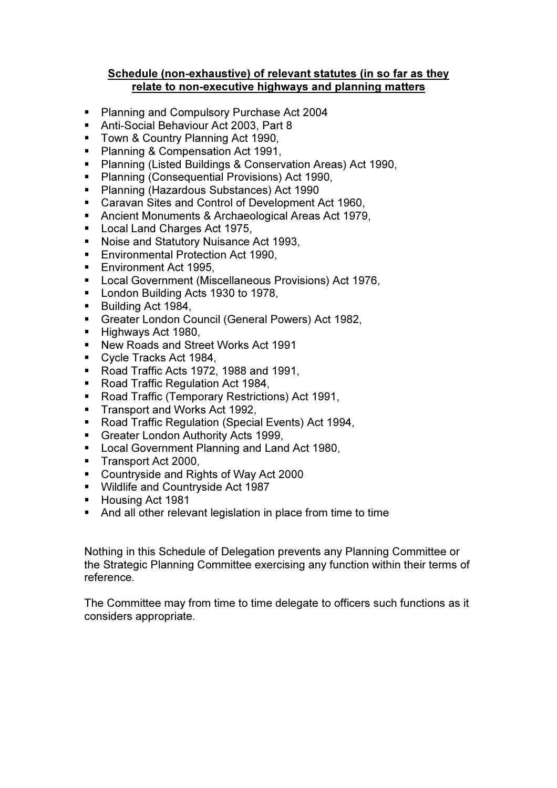#### Schedule (non-exhaustive) of relevant statutes (in so far as they relate to non-executive highways and planning matters

- **Planning and Compulsory Purchase Act 2004**
- **Anti-Social Behaviour Act 2003, Part 8**
- **Town & Country Planning Act 1990,**
- **Planning & Compensation Act 1991,**
- **Planning (Listed Buildings & Conservation Areas) Act 1990,**
- **Planning (Consequential Provisions) Act 1990,**
- Planning (Hazardous Substances) Act 1990
- Caravan Sites and Control of Development Act 1960,
- Ancient Monuments & Archaeological Areas Act 1979,
- Local Land Charges Act 1975,
- **Noise and Statutory Nuisance Act 1993,**
- **Environmental Protection Act 1990,**
- **Environment Act 1995.**
- **Local Government (Miscellaneous Provisions) Act 1976,**
- **London Building Acts 1930 to 1978,**
- Building Act 1984,
- Greater London Council (General Powers) Act 1982,
- Highways Act 1980,
- New Roads and Street Works Act 1991
- Cycle Tracks Act 1984,
- Road Traffic Acts 1972, 1988 and 1991,
- Road Traffic Regulation Act 1984,
- Road Traffic (Temporary Restrictions) Act 1991,
- **Transport and Works Act 1992.**
- Road Traffic Regulation (Special Events) Act 1994,
- **Greater London Authority Acts 1999,**
- **Local Government Planning and Land Act 1980,**
- Transport Act 2000,
- Countryside and Rights of Way Act 2000
- **Wildlife and Countryside Act 1987**
- Housing Act 1981
- And all other relevant legislation in place from time to time

Nothing in this Schedule of Delegation prevents any Planning Committee or the Strategic Planning Committee exercising any function within their terms of reference.

The Committee may from time to time delegate to officers such functions as it considers appropriate.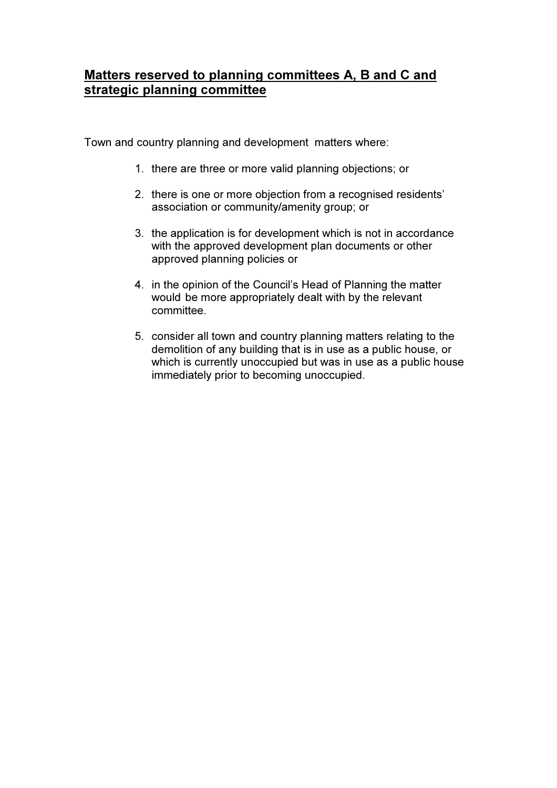## Matters reserved to planning committees A, B and C and strategic planning committee

Town and country planning and development matters where:

- 1. there are three or more valid planning objections; or
- 2. there is one or more objection from a recognised residents' association or community/amenity group; or
- 3. the application is for development which is not in accordance with the approved development plan documents or other approved planning policies or
- 4. in the opinion of the Council's Head of Planning the matter would be more appropriately dealt with by the relevant committee.
- 5. consider all town and country planning matters relating to the demolition of any building that is in use as a public house, or which is currently unoccupied but was in use as a public house immediately prior to becoming unoccupied.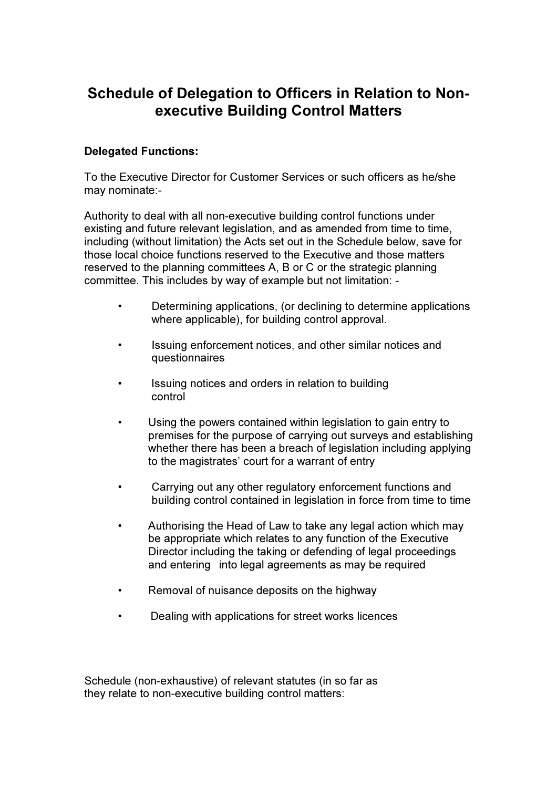# Schedule of Delegation to Officers in Relation to Nonexecutive Building Control Matters

## Delegated Functions:

To the Executive Director for Customer Services or such officers as he/she may nominate:-

Authority to deal with all non-executive building control functions under existing and future relevant legislation, and as amended from time to time, including (without limitation) the Acts set out in the Schedule below, save for those local choice functions reserved to the Executive and those matters reserved to the planning committees A, B or C or the strategic planning committee. This includes by way of example but not limitation: -

- Determining applications, (or declining to determine applications where applicable), for building control approval.
- Issuing enforcement notices, and other similar notices and questionnaires
- Issuing notices and orders in relation to building control
- Using the powers contained within legislation to gain entry to premises for the purpose of carrying out surveys and establishing whether there has been a breach of legislation including applying to the magistrates' court for a warrant of entry
- Carrying out any other regulatory enforcement functions and building control contained in legislation in force from time to time
- Authorising the Head of Law to take any legal action which may be appropriate which relates to any function of the Executive Director including the taking or defending of legal proceedings and entering into legal agreements as may be required
- Removal of nuisance deposits on the highway
- Dealing with applications for street works licences

Schedule (non-exhaustive) of relevant statutes (in so far as they relate to non-executive building control matters: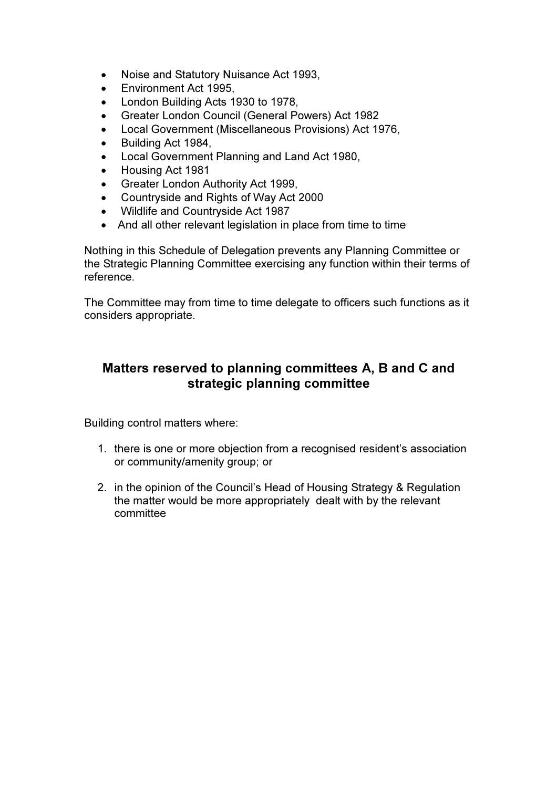- Noise and Statutory Nuisance Act 1993,
- Environment Act 1995,
- London Building Acts 1930 to 1978,
- Greater London Council (General Powers) Act 1982
- Local Government (Miscellaneous Provisions) Act 1976,
- Building Act 1984,
- Local Government Planning and Land Act 1980,
- Housing Act 1981
- Greater London Authority Act 1999,
- Countryside and Rights of Way Act 2000
- Wildlife and Countryside Act 1987
- And all other relevant legislation in place from time to time

Nothing in this Schedule of Delegation prevents any Planning Committee or the Strategic Planning Committee exercising any function within their terms of reference.

The Committee may from time to time delegate to officers such functions as it considers appropriate.

## Matters reserved to planning committees A, B and C and strategic planning committee

Building control matters where:

- 1. there is one or more objection from a recognised resident's association or community/amenity group; or
- 2. in the opinion of the Council's Head of Housing Strategy & Regulation the matter would be more appropriately dealt with by the relevant committee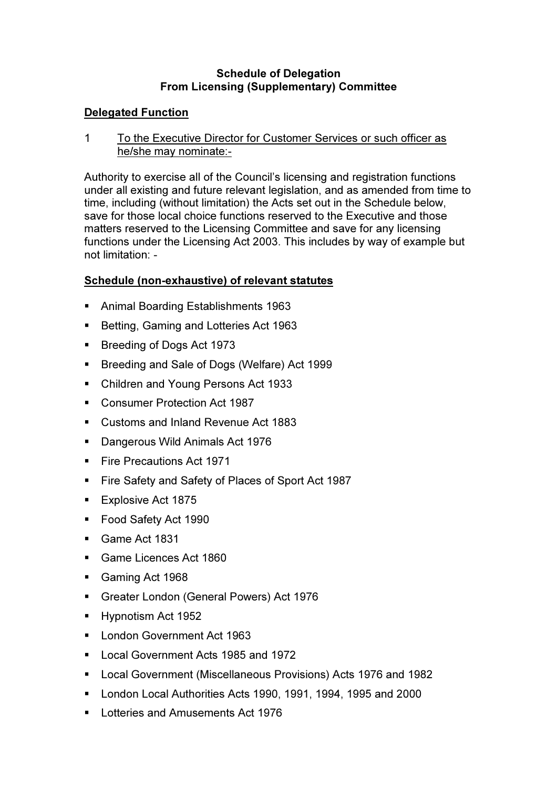### Schedule of Delegation From Licensing (Supplementary) Committee

## Delegated Function

1 To the Executive Director for Customer Services or such officer as he/she may nominate:-

Authority to exercise all of the Council's licensing and registration functions under all existing and future relevant legislation, and as amended from time to time, including (without limitation) the Acts set out in the Schedule below, save for those local choice functions reserved to the Executive and those matters reserved to the Licensing Committee and save for any licensing functions under the Licensing Act 2003. This includes by way of example but not limitation: -

## Schedule (non-exhaustive) of relevant statutes

- Animal Boarding Establishments 1963
- Betting, Gaming and Lotteries Act 1963
- Breeding of Dogs Act 1973
- **Breeding and Sale of Dogs (Welfare) Act 1999**
- Children and Young Persons Act 1933
- Consumer Protection Act 1987
- Customs and Inland Revenue Act 1883
- Dangerous Wild Animals Act 1976
- **Fire Precautions Act 1971**
- Fire Safety and Safety of Places of Sport Act 1987
- **Explosive Act 1875**
- Food Safety Act 1990
- Game Act 1831
- Game Licences Act 1860
- Gaming Act 1968
- Greater London (General Powers) Act 1976
- Hypnotism Act 1952
- **London Government Act 1963**
- Local Government Acts 1985 and 1972
- Local Government (Miscellaneous Provisions) Acts 1976 and 1982
- London Local Authorities Acts 1990, 1991, 1994, 1995 and 2000
- **Lotteries and Amusements Act 1976**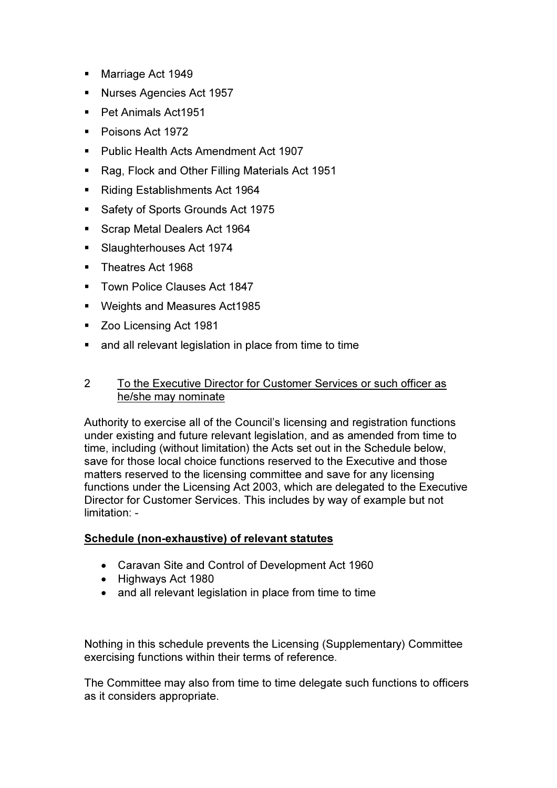- **Marriage Act 1949**
- **Nurses Agencies Act 1957**
- Pet Animals Act1951
- Poisons Act 1972
- **Public Health Acts Amendment Act 1907**
- Rag, Flock and Other Filling Materials Act 1951
- Riding Establishments Act 1964
- **Safety of Sports Grounds Act 1975**
- Scrap Metal Dealers Act 1964
- **Slaughterhouses Act 1974**
- Theatres Act 1968
- **Town Police Clauses Act 1847**
- Weights and Measures Act1985
- **Zoo Licensing Act 1981**
- and all relevant legislation in place from time to time

## 2 To the Executive Director for Customer Services or such officer as he/she may nominate

Authority to exercise all of the Council's licensing and registration functions under existing and future relevant legislation, and as amended from time to time, including (without limitation) the Acts set out in the Schedule below, save for those local choice functions reserved to the Executive and those matters reserved to the licensing committee and save for any licensing functions under the Licensing Act 2003, which are delegated to the Executive Director for Customer Services. This includes by way of example but not limitation: -

## Schedule (non-exhaustive) of relevant statutes

- Caravan Site and Control of Development Act 1960
- Highways Act 1980
- and all relevant legislation in place from time to time

Nothing in this schedule prevents the Licensing (Supplementary) Committee exercising functions within their terms of reference.

The Committee may also from time to time delegate such functions to officers as it considers appropriate.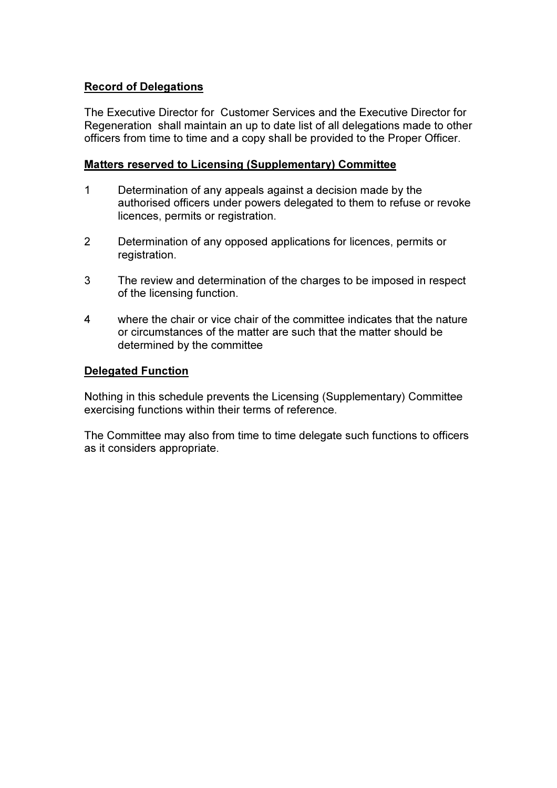## Record of Delegations

The Executive Director for Customer Services and the Executive Director for Regeneration shall maintain an up to date list of all delegations made to other officers from time to time and a copy shall be provided to the Proper Officer.

#### Matters reserved to Licensing (Supplementary) Committee

- 1 Determination of any appeals against a decision made by the authorised officers under powers delegated to them to refuse or revoke licences, permits or registration.
- 2 Determination of any opposed applications for licences, permits or registration.
- 3 The review and determination of the charges to be imposed in respect of the licensing function.
- 4 where the chair or vice chair of the committee indicates that the nature or circumstances of the matter are such that the matter should be determined by the committee

### Delegated Function

Nothing in this schedule prevents the Licensing (Supplementary) Committee exercising functions within their terms of reference.

The Committee may also from time to time delegate such functions to officers as it considers appropriate.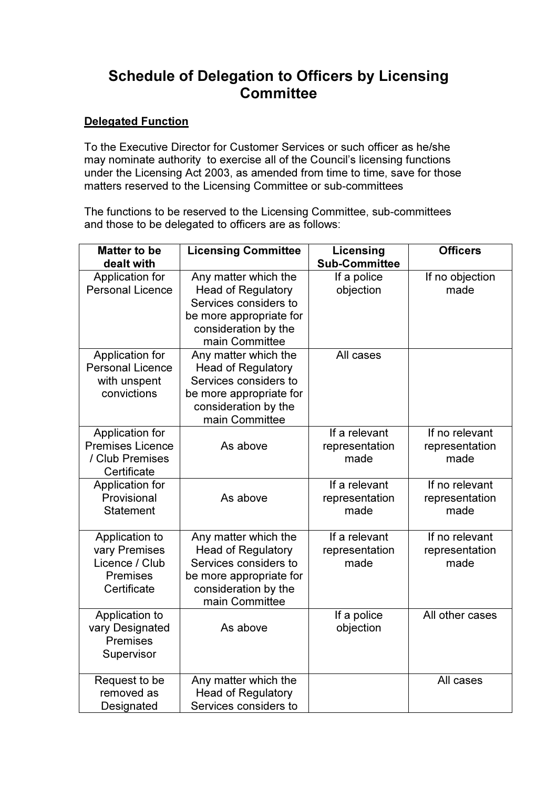## Schedule of Delegation to Officers by Licensing **Committee**

## Delegated Function

To the Executive Director for Customer Services or such officer as he/she may nominate authority to exercise all of the Council's licensing functions under the Licensing Act 2003, as amended from time to time, save for those matters reserved to the Licensing Committee or sub-committees

The functions to be reserved to the Licensing Committee, sub-committees and those to be delegated to officers are as follows:

| <b>Matter to be</b><br>dealt with                                                   | <b>Licensing Committee</b>                                                                                                                      | Licensing<br><b>Sub-Committee</b>       | <b>Officers</b>                          |
|-------------------------------------------------------------------------------------|-------------------------------------------------------------------------------------------------------------------------------------------------|-----------------------------------------|------------------------------------------|
| Application for<br><b>Personal Licence</b>                                          | Any matter which the<br><b>Head of Regulatory</b><br>Services considers to<br>be more appropriate for<br>consideration by the<br>main Committee | If a police<br>objection                | If no objection<br>made                  |
| Application for<br><b>Personal Licence</b><br>with unspent<br>convictions           | Any matter which the<br><b>Head of Regulatory</b><br>Services considers to<br>be more appropriate for<br>consideration by the<br>main Committee | All cases                               |                                          |
| Application for<br><b>Premises Licence</b><br>/ Club Premises<br>Certificate        | As above                                                                                                                                        | If a relevant<br>representation<br>made | If no relevant<br>representation<br>made |
| Application for<br>Provisional<br><b>Statement</b>                                  | As above                                                                                                                                        | If a relevant<br>representation<br>made | If no relevant<br>representation<br>made |
| Application to<br>vary Premises<br>Licence / Club<br><b>Premises</b><br>Certificate | Any matter which the<br><b>Head of Regulatory</b><br>Services considers to<br>be more appropriate for<br>consideration by the<br>main Committee | If a relevant<br>representation<br>made | If no relevant<br>representation<br>made |
| Application to<br>vary Designated<br><b>Premises</b><br>Supervisor                  | As above                                                                                                                                        | If a police<br>objection                | All other cases                          |
| Request to be<br>removed as<br>Designated                                           | Any matter which the<br><b>Head of Regulatory</b><br>Services considers to                                                                      |                                         | All cases                                |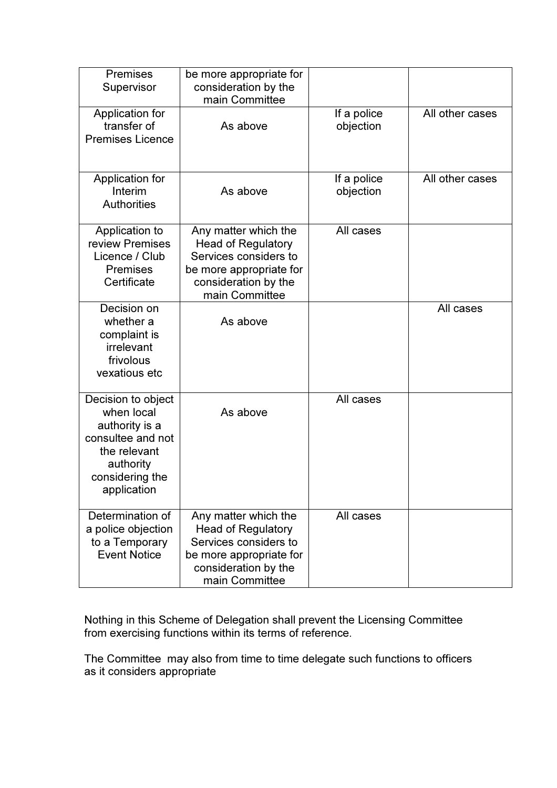| <b>Premises</b><br>Supervisor                                                                                                          | be more appropriate for<br>consideration by the<br>main Committee                                                                               |                          |                 |
|----------------------------------------------------------------------------------------------------------------------------------------|-------------------------------------------------------------------------------------------------------------------------------------------------|--------------------------|-----------------|
| Application for<br>transfer of<br><b>Premises Licence</b>                                                                              | As above                                                                                                                                        | If a police<br>objection | All other cases |
| Application for<br>Interim<br><b>Authorities</b>                                                                                       | As above                                                                                                                                        | If a police<br>objection | All other cases |
| Application to<br>review Premises<br>Licence / Club<br>Premises<br>Certificate                                                         | Any matter which the<br><b>Head of Regulatory</b><br>Services considers to<br>be more appropriate for<br>consideration by the<br>main Committee | All cases                |                 |
| Decision on<br>whether a<br>complaint is<br>irrelevant<br>frivolous<br>vexatious etc                                                   | As above                                                                                                                                        |                          | All cases       |
| Decision to object<br>when local<br>authority is a<br>consultee and not<br>the relevant<br>authority<br>considering the<br>application | As above                                                                                                                                        | All cases                |                 |
| Determination of<br>a police objection<br>to a Temporary<br><b>Event Notice</b>                                                        | Any matter which the<br><b>Head of Regulatory</b><br>Services considers to<br>be more appropriate for<br>consideration by the<br>main Committee | All cases                |                 |

Nothing in this Scheme of Delegation shall prevent the Licensing Committee from exercising functions within its terms of reference.

The Committee may also from time to time delegate such functions to officers as it considers appropriate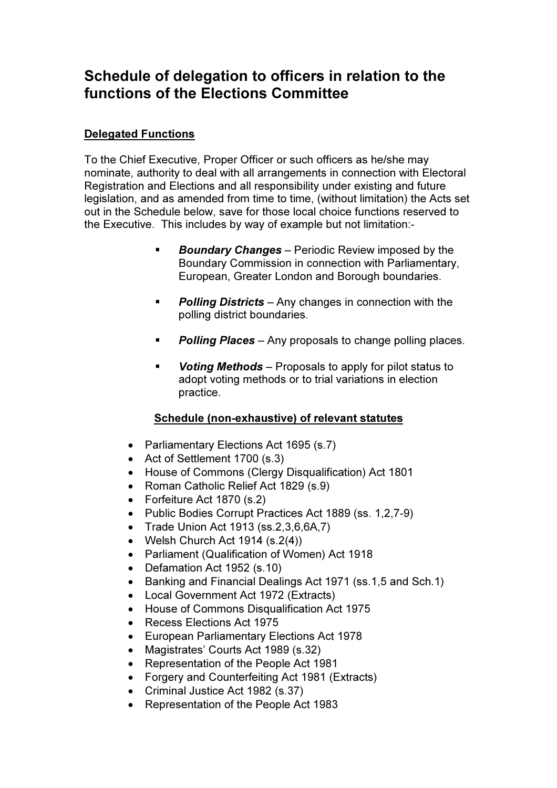## Schedule of delegation to officers in relation to the functions of the Elections Committee

## Delegated Functions

To the Chief Executive, Proper Officer or such officers as he/she may nominate, authority to deal with all arrangements in connection with Electoral Registration and Elections and all responsibility under existing and future legislation, and as amended from time to time, (without limitation) the Acts set out in the Schedule below, save for those local choice functions reserved to the Executive. This includes by way of example but not limitation:-

- Boundary Changes Periodic Review imposed by the Boundary Commission in connection with Parliamentary, European, Greater London and Borough boundaries.
- **Polling Districts** Any changes in connection with the polling district boundaries.
- $\blacksquare$  Polling Places Any proposals to change polling places.
- **Voting Methods** Proposals to apply for pilot status to adopt voting methods or to trial variations in election practice.

## Schedule (non-exhaustive) of relevant statutes

- Parliamentary Elections Act 1695 (s.7)
- Act of Settlement 1700 (s.3)
- House of Commons (Clergy Disqualification) Act 1801
- Roman Catholic Relief Act 1829 (s.9)
- Forfeiture Act 1870 (s.2)
- Public Bodies Corrupt Practices Act 1889 (ss. 1,2,7-9)
- Trade Union Act 1913 (ss.2,3,6,6A,7)
- Welsh Church Act 1914 (s.2(4))
- Parliament (Qualification of Women) Act 1918
- Defamation Act 1952 (s.10)
- Banking and Financial Dealings Act 1971 (ss.1,5 and Sch.1)
- Local Government Act 1972 (Extracts)
- House of Commons Disqualification Act 1975
- Recess Elections Act 1975
- European Parliamentary Elections Act 1978
- Magistrates' Courts Act 1989 (s.32)
- Representation of the People Act 1981
- Forgery and Counterfeiting Act 1981 (Extracts)
- Criminal Justice Act 1982 (s.37)
- Representation of the People Act 1983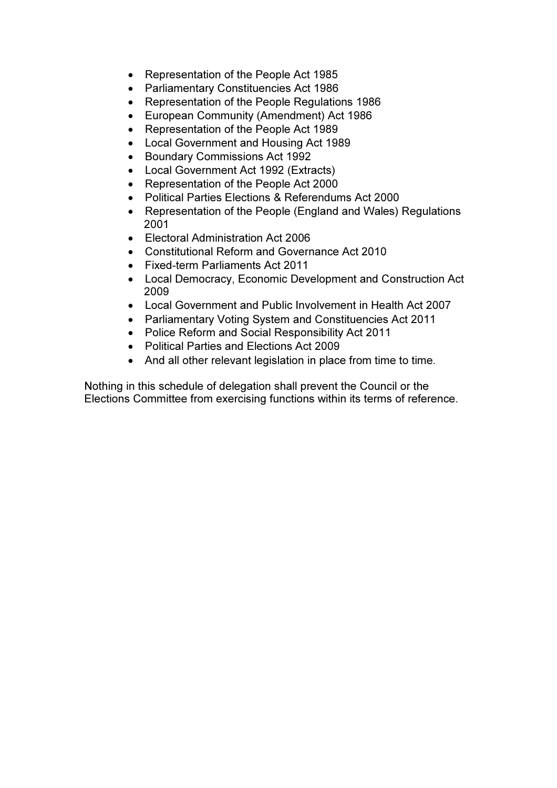- Representation of the People Act 1985
- Parliamentary Constituencies Act 1986
- Representation of the People Regulations 1986
- European Community (Amendment) Act 1986
- Representation of the People Act 1989
- Local Government and Housing Act 1989
- Boundary Commissions Act 1992
- Local Government Act 1992 (Extracts)
- Representation of the People Act 2000
- Political Parties Elections & Referendums Act 2000
- Representation of the People (England and Wales) Regulations 2001
- Electoral Administration Act 2006
- Constitutional Reform and Governance Act 2010
- Fixed-term Parliaments Act 2011
- Local Democracy, Economic Development and Construction Act 2009
- Local Government and Public Involvement in Health Act 2007
- Parliamentary Voting System and Constituencies Act 2011
- Police Reform and Social Responsibility Act 2011
- Political Parties and Elections Act 2009
- And all other relevant legislation in place from time to time.

Nothing in this schedule of delegation shall prevent the Council or the Elections Committee from exercising functions within its terms of reference.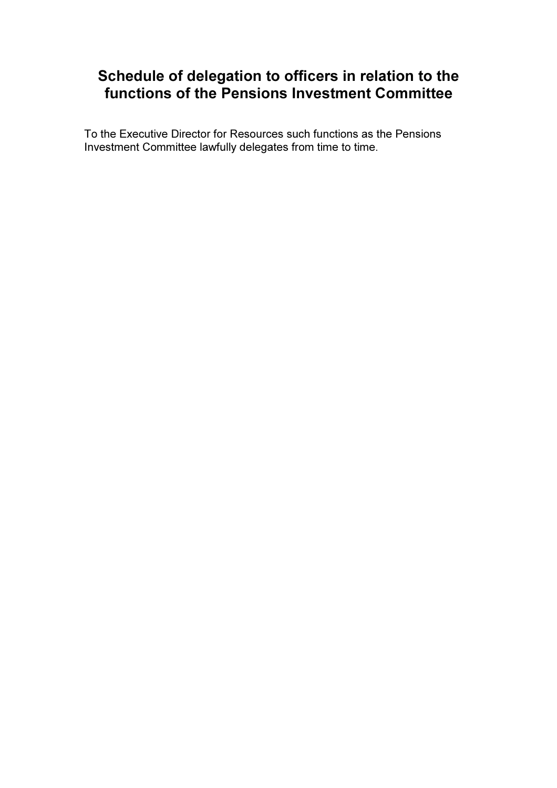## Schedule of delegation to officers in relation to the functions of the Pensions Investment Committee

To the Executive Director for Resources such functions as the Pensions Investment Committee lawfully delegates from time to time.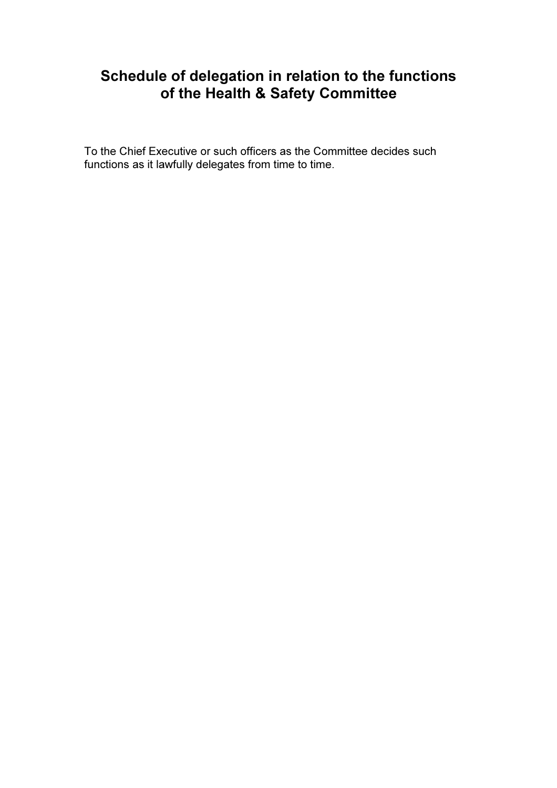# Schedule of delegation in relation to the functions of the Health & Safety Committee

To the Chief Executive or such officers as the Committee decides such functions as it lawfully delegates from time to time.